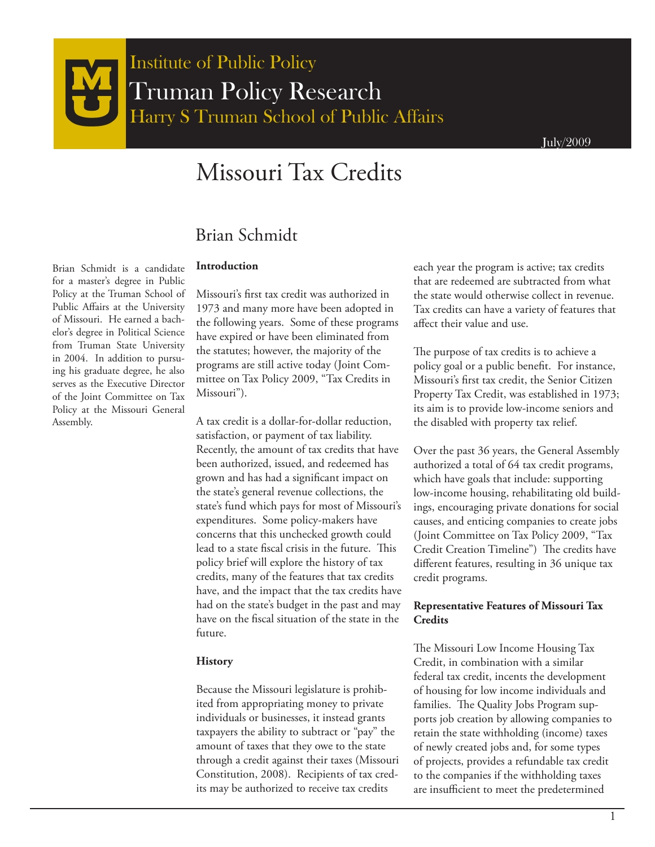# Missouri Tax Credits

# Brian Schmidt

#### **Introduction**

Brian Schmidt is a candidate for a master's degree in Public Policy at the Truman School of Public Affairs at the University of Missouri. He earned a bachelor's degree in Political Science from Truman State University in 2004. In addition to pursuing his graduate degree, he also serves as the Executive Director of the Joint Committee on Tax Policy at the Missouri General Assembly.

Missouri's first tax credit was authorized in 1973 and many more have been adopted in the following years. Some of these programs have expired or have been eliminated from the statutes; however, the majority of the programs are still active today (Joint Committee on Tax Policy 2009, "Tax Credits in Missouri").

A tax credit is a dollar-for-dollar reduction, satisfaction, or payment of tax liability. Recently, the amount of tax credits that have been authorized, issued, and redeemed has grown and has had a significant impact on the state's general revenue collections, the state's fund which pays for most of Missouri's expenditures. Some policy-makers have concerns that this unchecked growth could lead to a state fiscal crisis in the future. This policy brief will explore the history of tax credits, many of the features that tax credits have, and the impact that the tax credits have had on the state's budget in the past and may have on the fiscal situation of the state in the future.

#### **History**

Because the Missouri legislature is prohibited from appropriating money to private individuals or businesses, it instead grants taxpayers the ability to subtract or "pay" the amount of taxes that they owe to the state through a credit against their taxes (Missouri Constitution, 2008). Recipients of tax credits may be authorized to receive tax credits

each year the program is active; tax credits that are redeemed are subtracted from what the state would otherwise collect in revenue. Tax credits can have a variety of features that affect their value and use.

The purpose of tax credits is to achieve a policy goal or a public benefit. For instance, Missouri's first tax credit, the Senior Citizen Property Tax Credit, was established in 1973; its aim is to provide low-income seniors and the disabled with property tax relief.

Over the past 36 years, the General Assembly authorized a total of 64 tax credit programs, which have goals that include: supporting low-income housing, rehabilitating old buildings, encouraging private donations for social causes, and enticing companies to create jobs (Joint Committee on Tax Policy 2009, "Tax Credit Creation Timeline") The credits have different features, resulting in 36 unique tax credit programs.

#### **Representative Features of Missouri Tax Credits**

The Missouri Low Income Housing Tax Credit, in combination with a similar federal tax credit, incents the development of housing for low income individuals and families. The Quality Jobs Program supports job creation by allowing companies to retain the state withholding (income) taxes of newly created jobs and, for some types of projects, provides a refundable tax credit to the companies if the withholding taxes are insufficient to meet the predetermined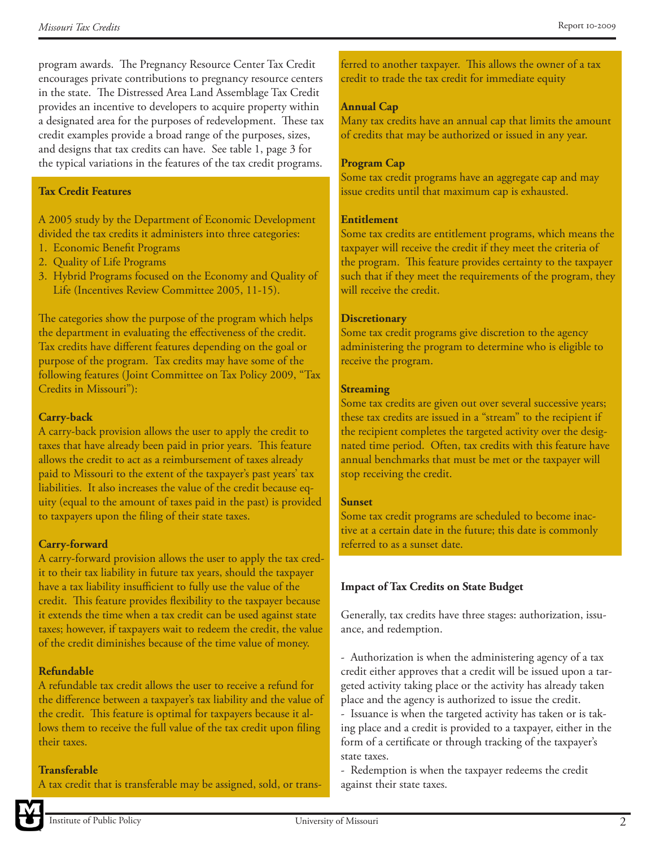program awards. The Pregnancy Resource Center Tax Credit encourages private contributions to pregnancy resource centers in the state. The Distressed Area Land Assemblage Tax Credit provides an incentive to developers to acquire property within a designated area for the purposes of redevelopment. These tax credit examples provide a broad range of the purposes, sizes, and designs that tax credits can have. See table 1, page 3 for the typical variations in the features of the tax credit programs.

## **Tax Credit Features**

A 2005 study by the Department of Economic Development divided the tax credits it administers into three categories:

- 1. Economic Benefit Programs
- 2. Quality of Life Programs
- 3. Hybrid Programs focused on the Economy and Quality of Life (Incentives Review Committee 2005, 11-15).

The categories show the purpose of the program which helps the department in evaluating the effectiveness of the credit. Tax credits have different features depending on the goal or purpose of the program. Tax credits may have some of the following features (Joint Committee on Tax Policy 2009, "Tax Credits in Missouri"):

# **Carry-back**

A carry-back provision allows the user to apply the credit to taxes that have already been paid in prior years. This feature allows the credit to act as a reimbursement of taxes already paid to Missouri to the extent of the taxpayer's past years' tax liabilities. It also increases the value of the credit because equity (equal to the amount of taxes paid in the past) is provided to taxpayers upon the filing of their state taxes.

# **Carry-forward**

A carry-forward provision allows the user to apply the tax credit to their tax liability in future tax years, should the taxpayer have a tax liability insufficient to fully use the value of the credit. This feature provides flexibility to the taxpayer because it extends the time when a tax credit can be used against state taxes; however, if taxpayers wait to redeem the credit, the value of the credit diminishes because of the time value of money.

# **Refundable**

A refundable tax credit allows the user to receive a refund for the difference between a taxpayer's tax liability and the value of the credit. This feature is optimal for taxpayers because it allows them to receive the full value of the tax credit upon filing their taxes.

#### **Transferable**

A tax credit that is transferable may be assigned, sold, or trans-

ferred to another taxpayer. This allows the owner of a tax credit to trade the tax credit for immediate equity

# **Annual Cap**

Many tax credits have an annual cap that limits the amount of credits that may be authorized or issued in any year.

#### **Program Cap**

Some tax credit programs have an aggregate cap and may issue credits until that maximum cap is exhausted.

#### **Entitlement**

Some tax credits are entitlement programs, which means the taxpayer will receive the credit if they meet the criteria of the program. This feature provides certainty to the taxpayer such that if they meet the requirements of the program, they will receive the credit.

#### **Discretionary**

Some tax credit programs give discretion to the agency administering the program to determine who is eligible to receive the program.

#### **Streaming**

Some tax credits are given out over several successive years; these tax credits are issued in a "stream" to the recipient if the recipient completes the targeted activity over the designated time period. Often, tax credits with this feature have annual benchmarks that must be met or the taxpayer will stop receiving the credit.

#### **Sunset**

Some tax credit programs are scheduled to become inactive at a certain date in the future; this date is commonly referred to as a sunset date.

# **Impact of Tax Credits on State Budget**

Generally, tax credits have three stages: authorization, issuance, and redemption.

- Authorization is when the administering agency of a tax credit either approves that a credit will be issued upon a targeted activity taking place or the activity has already taken place and the agency is authorized to issue the credit.

- Issuance is when the targeted activity has taken or is taking place and a credit is provided to a taxpayer, either in the form of a certificate or through tracking of the taxpayer's state taxes.

- Redemption is when the taxpayer redeems the credit against their state taxes.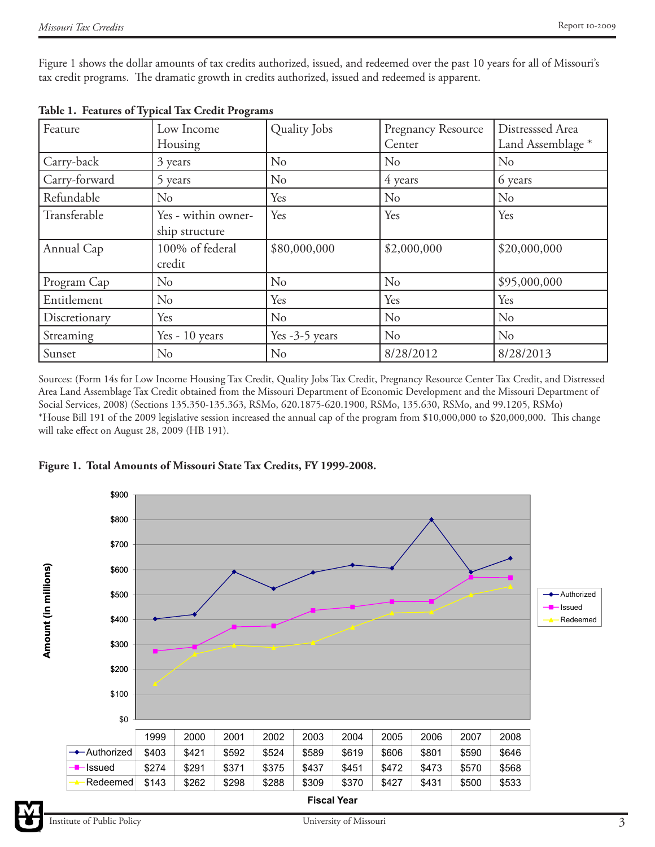Figure 1 shows the dollar amounts of tax credits authorized, issued, and redeemed over the past 10 years for all of Missouri's tax credit programs. The dramatic growth in credits authorized, issued and redeemed is apparent.

| Feature       | Low Income          | Quality Jobs     | Pregnancy Resource | Distresssed Area             |
|---------------|---------------------|------------------|--------------------|------------------------------|
|               | Housing             |                  | Center             | Land Assemblage <sup>*</sup> |
| Carry-back    | 3 years             | No               | No                 | No                           |
| Carry-forward | 5 years             | No               | 4 years            | 6 years                      |
| Refundable    | No                  | Yes              | N <sub>o</sub>     | N <sub>o</sub>               |
| Transferable  | Yes - within owner- | Yes              | Yes                | Yes                          |
|               | ship structure      |                  |                    |                              |
| Annual Cap    | 100% of federal     | \$80,000,000     | \$2,000,000        | \$20,000,000                 |
|               | credit              |                  |                    |                              |
| Program Cap   | No                  | No               | No                 | \$95,000,000                 |
| Entitlement   | N <sub>o</sub>      | Yes              | Yes                | Yes                          |
| Discretionary | Yes                 | No               | No                 | No                           |
| Streaming     | Yes - 10 years      | Yes $-3-5$ years | No                 | No                           |
| Sunset        | No                  | No               | 8/28/2012          | 8/28/2013                    |

**Table 1. Features of Typical Tax Credit Programs**

Sources: (Form 14s for Low Income Housing Tax Credit, Quality Jobs Tax Credit, Pregnancy Resource Center Tax Credit, and Distressed Area Land Assemblage Tax Credit obtained from the Missouri Department of Economic Development and the Missouri Department of Social Services, 2008) (Sections 135.350-135.363, RSMo, 620.1875-620.1900, RSMo, 135.630, RSMo, and 99.1205, RSMo) \*House Bill 191 of the 2009 legislative session increased the annual cap of the program from \$10,000,000 to \$20,000,000. This change will take effect on August 28, 2009 (HB 191).





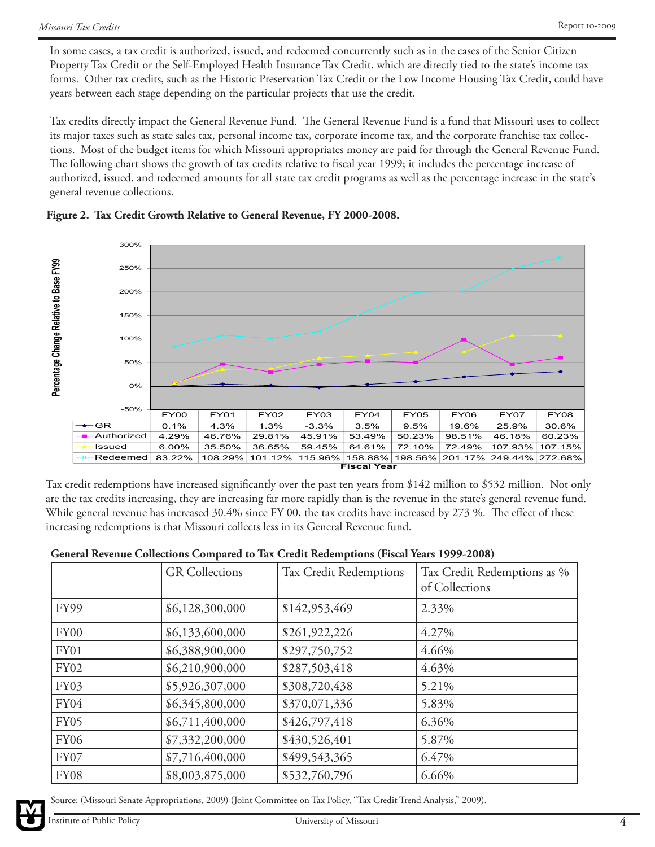In some cases, a tax credit is authorized, issued, and redeemed concurrently such as in the cases of the Senior Citizen Property Tax Credit or the Self-Employed Health Insurance Tax Credit, which are directly tied to the state's income tax forms. Other tax credits, such as the Historic Preservation Tax Credit or the Low Income Housing Tax Credit, could have years between each stage depending on the particular projects that use the credit.

Tax credits directly impact the General Revenue Fund. The General Revenue Fund is a fund that Missouri uses to collect its major taxes such as state sales tax, personal income tax, corporate income tax, and the corporate franchise tax collections. Most of the budget items for which Missouri appropriates money are paid for through the General Revenue Fund. The following chart shows the growth of tax credits relative to fiscal year 1999; it includes the percentage increase of authorized, issued, and redeemed amounts for all state tax credit programs as well as the percentage increase in the state's general revenue collections.





Tax credit redemptions have increased significantly over the past ten years from \$142 million to \$532 million. Not only are the tax credits increasing, they are increasing far more rapidly than is the revenue in the state's general revenue fund. While general revenue has increased 30.4% since FY 00, the tax credits have increased by 273 %. The effect of these increasing redemptions is that Missouri collects less in its General Revenue fund.

# **General Revenue Collections Compared to Tax Credit Redemptions (Fiscal Years 1999-2008)**

|                  | <b>GR</b> Collections | Tax Credit Redemptions | Tax Credit Redemptions as %<br>of Collections |
|------------------|-----------------------|------------------------|-----------------------------------------------|
| FY99             | \$6,128,300,000       | \$142,953,469          | 2.33%                                         |
| FY <sub>00</sub> | \$6,133,600,000       | \$261,922,226          | 4.27%                                         |
| FY01             | \$6,388,900,000       | \$297,750,752          | 4.66%                                         |
| <b>FY02</b>      | \$6,210,900,000       | \$287,503,418          | 4.63%                                         |
| <b>FY03</b>      | \$5,926,307,000       | \$308,720,438          | 5.21%                                         |
| FY04             | \$6,345,800,000       | \$370,071,336          | 5.83%                                         |
| <b>FY05</b>      | \$6,711,400,000       | \$426,797,418          | 6.36%                                         |
| <b>FY06</b>      | \$7,332,200,000       | \$430,526,401          | 5.87%                                         |
| FY07             | \$7,716,400,000       | \$499,543,365          | 6.47%                                         |
| FY08             | \$8,003,875,000       | \$532,760,796          | 6.66%                                         |



Source: (Missouri Senate Appropriations, 2009) (Joint Committee on Tax Policy, "Tax Credit Trend Analysis," 2009).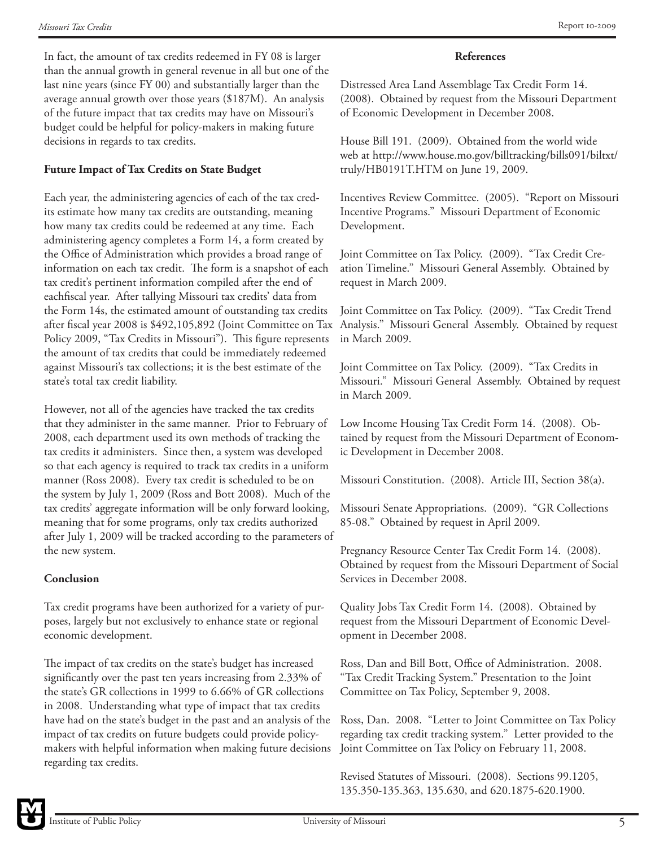In fact, the amount of tax credits redeemed in FY 08 is larger than the annual growth in general revenue in all but one of the last nine years (since FY 00) and substantially larger than the average annual growth over those years (\$187M). An analysis of the future impact that tax credits may have on Missouri's budget could be helpful for policy-makers in making future decisions in regards to tax credits.

# **Future Impact of Tax Credits on State Budget**

Each year, the administering agencies of each of the tax credits estimate how many tax credits are outstanding, meaning how many tax credits could be redeemed at any time. Each administering agency completes a Form 14, a form created by the Office of Administration which provides a broad range of information on each tax credit. The form is a snapshot of each tax credit's pertinent information compiled after the end of eachfiscal year. After tallying Missouri tax credits' data from the Form 14s, the estimated amount of outstanding tax credits after fiscal year 2008 is \$492,105,892 (Joint Committee on Tax Policy 2009, "Tax Credits in Missouri"). This figure represents the amount of tax credits that could be immediately redeemed against Missouri's tax collections; it is the best estimate of the state's total tax credit liability.

However, not all of the agencies have tracked the tax credits that they administer in the same manner. Prior to February of 2008, each department used its own methods of tracking the tax credits it administers. Since then, a system was developed so that each agency is required to track tax credits in a uniform manner (Ross 2008). Every tax credit is scheduled to be on the system by July 1, 2009 (Ross and Bott 2008). Much of the tax credits' aggregate information will be only forward looking, meaning that for some programs, only tax credits authorized after July 1, 2009 will be tracked according to the parameters of the new system.

# **Conclusion**

Tax credit programs have been authorized for a variety of purposes, largely but not exclusively to enhance state or regional economic development.

The impact of tax credits on the state's budget has increased significantly over the past ten years increasing from 2.33% of the state's GR collections in 1999 to 6.66% of GR collections in 2008. Understanding what type of impact that tax credits have had on the state's budget in the past and an analysis of the impact of tax credits on future budgets could provide policymakers with helpful information when making future decisions regarding tax credits.

# **References**

Distressed Area Land Assemblage Tax Credit Form 14. (2008). Obtained by request from the Missouri Department of Economic Development in December 2008.

House Bill 191. (2009). Obtained from the world wide web at http://www.house.mo.gov/billtracking/bills091/biltxt/ truly/HB0191T.HTM on June 19, 2009.

Incentives Review Committee. (2005). "Report on Missouri Incentive Programs." Missouri Department of Economic Development.

Joint Committee on Tax Policy. (2009). "Tax Credit Creation Timeline." Missouri General Assembly. Obtained by request in March 2009.

Joint Committee on Tax Policy. (2009). "Tax Credit Trend Analysis." Missouri General Assembly. Obtained by request in March 2009.

Joint Committee on Tax Policy. (2009). "Tax Credits in Missouri." Missouri General Assembly. Obtained by request in March 2009.

Low Income Housing Tax Credit Form 14. (2008). Obtained by request from the Missouri Department of Economic Development in December 2008.

Missouri Constitution. (2008). Article III, Section 38(a).

Missouri Senate Appropriations. (2009). "GR Collections 85-08." Obtained by request in April 2009.

Pregnancy Resource Center Tax Credit Form 14. (2008). Obtained by request from the Missouri Department of Social Services in December 2008.

Quality Jobs Tax Credit Form 14. (2008). Obtained by request from the Missouri Department of Economic Development in December 2008.

Ross, Dan and Bill Bott, Office of Administration. 2008. "Tax Credit Tracking System." Presentation to the Joint Committee on Tax Policy, September 9, 2008.

Ross, Dan. 2008. "Letter to Joint Committee on Tax Policy regarding tax credit tracking system." Letter provided to the Joint Committee on Tax Policy on February 11, 2008.

Revised Statutes of Missouri. (2008). Sections 99.1205, 135.350-135.363, 135.630, and 620.1875-620.1900.